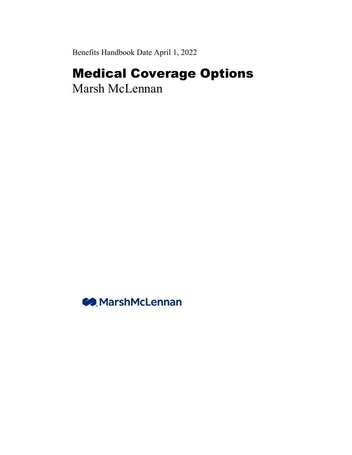Benefits Handbook Date April 1, 2022

## Medical Coverage Options

Marsh McLennan